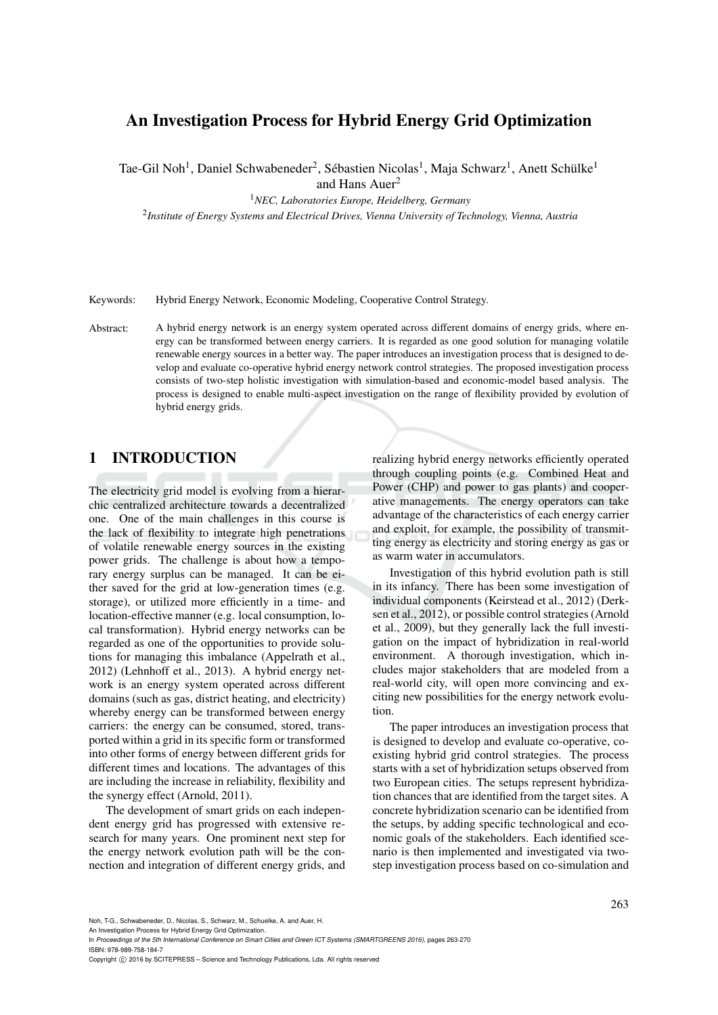# An Investigation Process for Hybrid Energy Grid Optimization

Tae-Gil Noh<sup>1</sup>, Daniel Schwabeneder<sup>2</sup>, Sébastien Nicolas<sup>1</sup>, Maja Schwarz<sup>1</sup>, Anett Schülke<sup>1</sup> and Hans Auer<sup>2</sup>

<sup>1</sup>*NEC, Laboratories Europe, Heidelberg, Germany*

2 *Institute of Energy Systems and Electrical Drives, Vienna University of Technology, Vienna, Austria*

Keywords: Hybrid Energy Network, Economic Modeling, Cooperative Control Strategy.

Abstract: A hybrid energy network is an energy system operated across different domains of energy grids, where energy can be transformed between energy carriers. It is regarded as one good solution for managing volatile renewable energy sources in a better way. The paper introduces an investigation process that is designed to develop and evaluate co-operative hybrid energy network control strategies. The proposed investigation process consists of two-step holistic investigation with simulation-based and economic-model based analysis. The process is designed to enable multi-aspect investigation on the range of flexibility provided by evolution of hybrid energy grids.

### 1 INTRODUCTION

The electricity grid model is evolving from a hierarchic centralized architecture towards a decentralized one. One of the main challenges in this course is the lack of flexibility to integrate high penetrations of volatile renewable energy sources in the existing power grids. The challenge is about how a temporary energy surplus can be managed. It can be either saved for the grid at low-generation times (e.g. storage), or utilized more efficiently in a time- and location-effective manner (e.g. local consumption, local transformation). Hybrid energy networks can be regarded as one of the opportunities to provide solutions for managing this imbalance (Appelrath et al., 2012) (Lehnhoff et al., 2013). A hybrid energy network is an energy system operated across different domains (such as gas, district heating, and electricity) whereby energy can be transformed between energy carriers: the energy can be consumed, stored, transported within a grid in its specific form or transformed into other forms of energy between different grids for different times and locations. The advantages of this are including the increase in reliability, flexibility and the synergy effect (Arnold, 2011).

The development of smart grids on each independent energy grid has progressed with extensive research for many years. One prominent next step for the energy network evolution path will be the connection and integration of different energy grids, and realizing hybrid energy networks efficiently operated through coupling points (e.g. Combined Heat and Power (CHP) and power to gas plants) and cooperative managements. The energy operators can take advantage of the characteristics of each energy carrier and exploit, for example, the possibility of transmitting energy as electricity and storing energy as gas or as warm water in accumulators.

Investigation of this hybrid evolution path is still in its infancy. There has been some investigation of individual components (Keirstead et al., 2012) (Derksen et al., 2012), or possible control strategies (Arnold et al., 2009), but they generally lack the full investigation on the impact of hybridization in real-world environment. A thorough investigation, which includes major stakeholders that are modeled from a real-world city, will open more convincing and exciting new possibilities for the energy network evolution.

The paper introduces an investigation process that is designed to develop and evaluate co-operative, coexisting hybrid grid control strategies. The process starts with a set of hybridization setups observed from two European cities. The setups represent hybridization chances that are identified from the target sites. A concrete hybridization scenario can be identified from the setups, by adding specific technological and economic goals of the stakeholders. Each identified scenario is then implemented and investigated via twostep investigation process based on co-simulation and

Noh, T-G., Schwabeneder, D., Nicolas, S., Schwarz, M., Schuelke, A. and Auer, H.

An Investigation Process for Hybrid Energy Grid Optimization.

In *Proceedings of the 5th International Conference on Smart Cities and Green ICT Systems (SMARTGREENS 2016)*, pages 263-270 ISBN: 978-989-758-184-7

Copyright C 2016 by SCITEPRESS - Science and Technology Publications, Lda. All rights reserved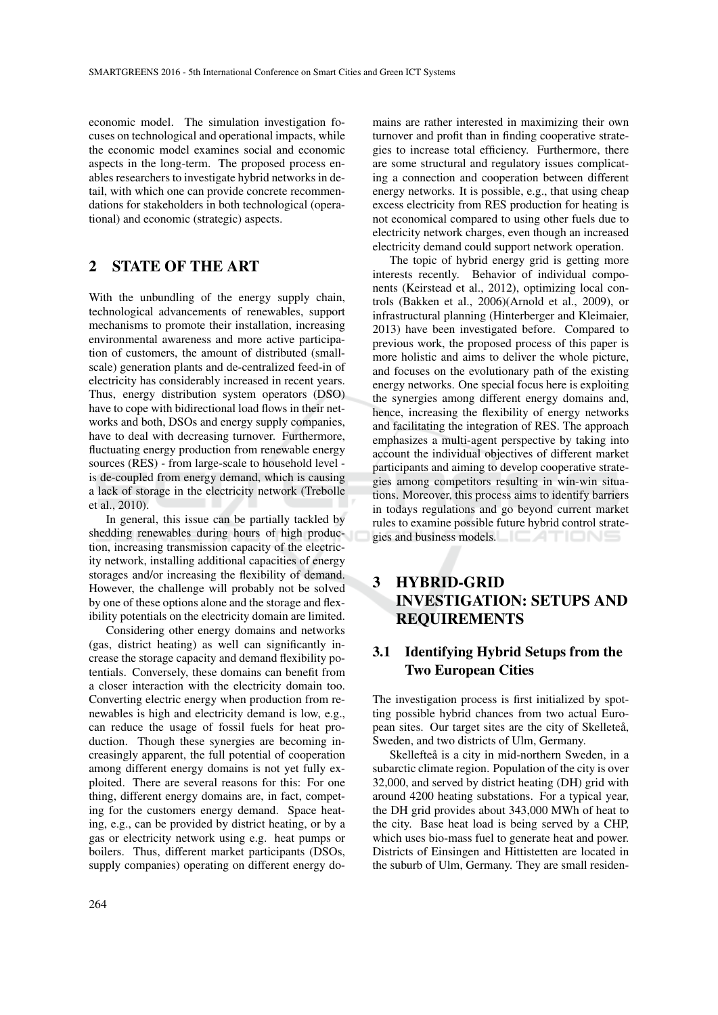economic model. The simulation investigation focuses on technological and operational impacts, while the economic model examines social and economic aspects in the long-term. The proposed process enables researchers to investigate hybrid networks in detail, with which one can provide concrete recommendations for stakeholders in both technological (operational) and economic (strategic) aspects.

## 2 STATE OF THE ART

With the unbundling of the energy supply chain, technological advancements of renewables, support mechanisms to promote their installation, increasing environmental awareness and more active participation of customers, the amount of distributed (smallscale) generation plants and de-centralized feed-in of electricity has considerably increased in recent years. Thus, energy distribution system operators (DSO) have to cope with bidirectional load flows in their networks and both, DSOs and energy supply companies, have to deal with decreasing turnover. Furthermore, fluctuating energy production from renewable energy sources (RES) - from large-scale to household level is de-coupled from energy demand, which is causing a lack of storage in the electricity network (Trebolle et al., 2010).

In general, this issue can be partially tackled by shedding renewables during hours of high production, increasing transmission capacity of the electricity network, installing additional capacities of energy storages and/or increasing the flexibility of demand. However, the challenge will probably not be solved by one of these options alone and the storage and flexibility potentials on the electricity domain are limited.

Considering other energy domains and networks (gas, district heating) as well can significantly increase the storage capacity and demand flexibility potentials. Conversely, these domains can benefit from a closer interaction with the electricity domain too. Converting electric energy when production from renewables is high and electricity demand is low, e.g., can reduce the usage of fossil fuels for heat production. Though these synergies are becoming increasingly apparent, the full potential of cooperation among different energy domains is not yet fully exploited. There are several reasons for this: For one thing, different energy domains are, in fact, competing for the customers energy demand. Space heating, e.g., can be provided by district heating, or by a gas or electricity network using e.g. heat pumps or boilers. Thus, different market participants (DSOs, supply companies) operating on different energy do-

mains are rather interested in maximizing their own turnover and profit than in finding cooperative strategies to increase total efficiency. Furthermore, there are some structural and regulatory issues complicating a connection and cooperation between different energy networks. It is possible, e.g., that using cheap excess electricity from RES production for heating is not economical compared to using other fuels due to electricity network charges, even though an increased electricity demand could support network operation.

The topic of hybrid energy grid is getting more interests recently. Behavior of individual components (Keirstead et al., 2012), optimizing local controls (Bakken et al., 2006)(Arnold et al., 2009), or infrastructural planning (Hinterberger and Kleimaier, 2013) have been investigated before. Compared to previous work, the proposed process of this paper is more holistic and aims to deliver the whole picture, and focuses on the evolutionary path of the existing energy networks. One special focus here is exploiting the synergies among different energy domains and, hence, increasing the flexibility of energy networks and facilitating the integration of RES. The approach emphasizes a multi-agent perspective by taking into account the individual objectives of different market participants and aiming to develop cooperative strategies among competitors resulting in win-win situations. Moreover, this process aims to identify barriers in todays regulations and go beyond current market rules to examine possible future hybrid control strategies and business models. **EXAMPLE** 

# 3 HYBRID-GRID INVESTIGATION: SETUPS AND REQUIREMENTS

### 3.1 Identifying Hybrid Setups from the Two European Cities

The investigation process is first initialized by spotting possible hybrid chances from two actual European sites. Our target sites are the city of Skelleteå, Sweden, and two districts of Ulm, Germany.

Skellefteå is a city in mid-northern Sweden, in a subarctic climate region. Population of the city is over 32,000, and served by district heating (DH) grid with around 4200 heating substations. For a typical year, the DH grid provides about 343,000 MWh of heat to the city. Base heat load is being served by a CHP, which uses bio-mass fuel to generate heat and power. Districts of Einsingen and Hittistetten are located in the suburb of Ulm, Germany. They are small residen-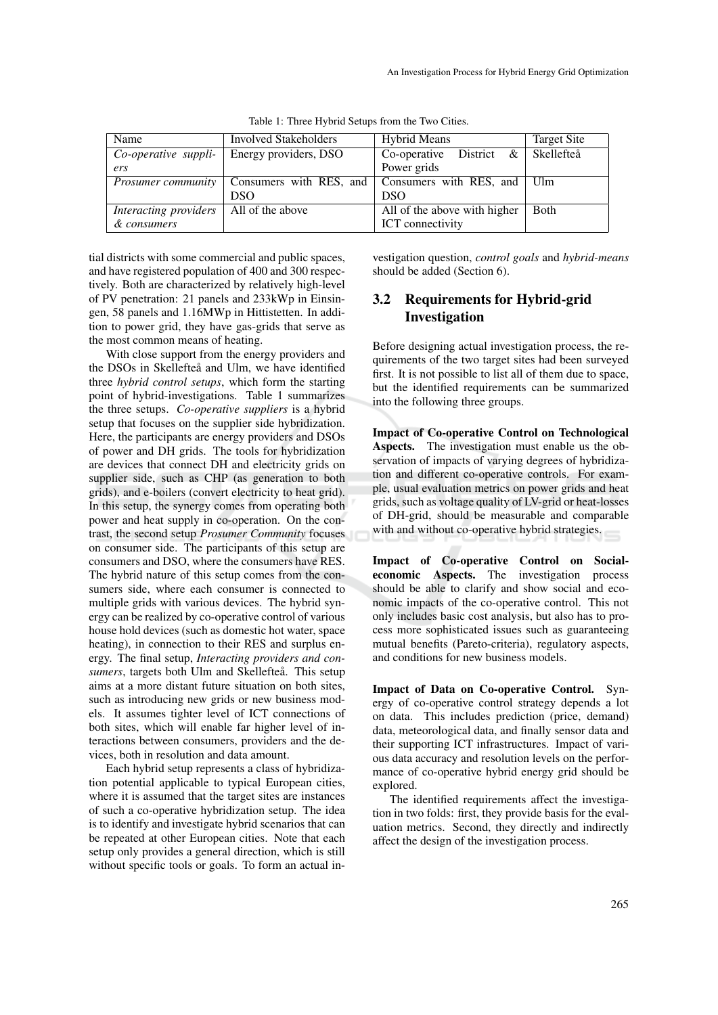| Name                      | Involved Stakeholders   | <b>Hybrid Means</b>          | Target Site |
|---------------------------|-------------------------|------------------------------|-------------|
| Co-operative suppli-      | Energy providers, DSO   | Co-operative District $\&$   | Skellefteå  |
| ers                       |                         | Power grids                  |             |
| <i>Prosumer community</i> | Consumers with RES, and | Consumers with RES, and Ulm  |             |
|                           | <b>DSO</b>              | DSO <sub>1</sub>             |             |
| Interacting providers     | All of the above        | All of the above with higher | Both        |
| & consumers               |                         | <b>ICT</b> connectivity      |             |

Table 1: Three Hybrid Setups from the Two Cities.

tial districts with some commercial and public spaces, and have registered population of 400 and 300 respectively. Both are characterized by relatively high-level of PV penetration: 21 panels and 233kWp in Einsingen, 58 panels and 1.16MWp in Hittistetten. In addition to power grid, they have gas-grids that serve as the most common means of heating.

With close support from the energy providers and the DSOs in Skellefteå and Ulm, we have identified three *hybrid control setups*, which form the starting point of hybrid-investigations. Table 1 summarizes the three setups. *Co-operative suppliers* is a hybrid setup that focuses on the supplier side hybridization. Here, the participants are energy providers and DSOs of power and DH grids. The tools for hybridization are devices that connect DH and electricity grids on supplier side, such as CHP (as generation to both grids), and e-boilers (convert electricity to heat grid). In this setup, the synergy comes from operating both power and heat supply in co-operation. On the contrast, the second setup *Prosumer Community* focuses on consumer side. The participants of this setup are consumers and DSO, where the consumers have RES. The hybrid nature of this setup comes from the consumers side, where each consumer is connected to multiple grids with various devices. The hybrid synergy can be realized by co-operative control of various house hold devices (such as domestic hot water, space heating), in connection to their RES and surplus energy. The final setup, *Interacting providers and con*sumers, targets both Ulm and Skellefteå. This setup aims at a more distant future situation on both sites, such as introducing new grids or new business models. It assumes tighter level of ICT connections of both sites, which will enable far higher level of interactions between consumers, providers and the devices, both in resolution and data amount.

Each hybrid setup represents a class of hybridization potential applicable to typical European cities, where it is assumed that the target sites are instances of such a co-operative hybridization setup. The idea is to identify and investigate hybrid scenarios that can be repeated at other European cities. Note that each setup only provides a general direction, which is still without specific tools or goals. To form an actual investigation question, *control goals* and *hybrid-means* should be added (Section 6).

## 3.2 Requirements for Hybrid-grid Investigation

Before designing actual investigation process, the requirements of the two target sites had been surveyed first. It is not possible to list all of them due to space, but the identified requirements can be summarized into the following three groups.

Impact of Co-operative Control on Technological Aspects. The investigation must enable us the observation of impacts of varying degrees of hybridization and different co-operative controls. For example, usual evaluation metrics on power grids and heat grids, such as voltage quality of LV-grid or heat-losses of DH-grid, should be measurable and comparable with and without co-operative hybrid strategies.

Impact of Co-operative Control on Socialeconomic Aspects. The investigation process should be able to clarify and show social and economic impacts of the co-operative control. This not only includes basic cost analysis, but also has to process more sophisticated issues such as guaranteeing mutual benefits (Pareto-criteria), regulatory aspects, and conditions for new business models.

Impact of Data on Co-operative Control. Synergy of co-operative control strategy depends a lot on data. This includes prediction (price, demand) data, meteorological data, and finally sensor data and their supporting ICT infrastructures. Impact of various data accuracy and resolution levels on the performance of co-operative hybrid energy grid should be explored.

The identified requirements affect the investigation in two folds: first, they provide basis for the evaluation metrics. Second, they directly and indirectly affect the design of the investigation process.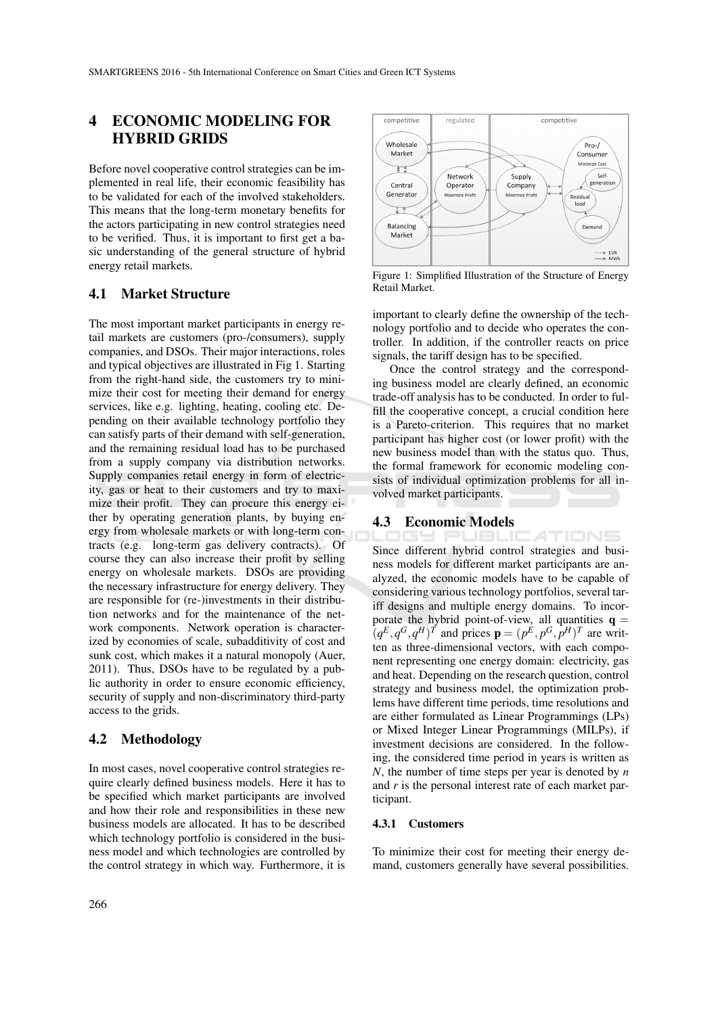# 4 ECONOMIC MODELING FOR HYBRID GRIDS

Before novel cooperative control strategies can be implemented in real life, their economic feasibility has to be validated for each of the involved stakeholders. This means that the long-term monetary benefits for the actors participating in new control strategies need to be verified. Thus, it is important to first get a basic understanding of the general structure of hybrid energy retail markets.

### 4.1 Market Structure

The most important market participants in energy retail markets are customers (pro-/consumers), supply companies, and DSOs. Their major interactions, roles and typical objectives are illustrated in Fig 1. Starting from the right-hand side, the customers try to minimize their cost for meeting their demand for energy services, like e.g. lighting, heating, cooling etc. Depending on their available technology portfolio they can satisfy parts of their demand with self-generation, and the remaining residual load has to be purchased from a supply company via distribution networks. Supply companies retail energy in form of electricity, gas or heat to their customers and try to maximize their profit. They can procure this energy either by operating generation plants, by buying energy from wholesale markets or with long-term contracts (e.g. long-term gas delivery contracts). Of course they can also increase their profit by selling energy on wholesale markets. DSOs are providing the necessary infrastructure for energy delivery. They are responsible for (re-)investments in their distribution networks and for the maintenance of the network components. Network operation is characterized by economies of scale, subadditivity of cost and sunk cost, which makes it a natural monopoly (Auer, 2011). Thus, DSOs have to be regulated by a public authority in order to ensure economic efficiency, security of supply and non-discriminatory third-party access to the grids.

### 4.2 Methodology

In most cases, novel cooperative control strategies require clearly defined business models. Here it has to be specified which market participants are involved and how their role and responsibilities in these new business models are allocated. It has to be described which technology portfolio is considered in the business model and which technologies are controlled by the control strategy in which way. Furthermore, it is



Figure 1: Simplified Illustration of the Structure of Energy Retail Market.

important to clearly define the ownership of the technology portfolio and to decide who operates the controller. In addition, if the controller reacts on price signals, the tariff design has to be specified.

Once the control strategy and the corresponding business model are clearly defined, an economic trade-off analysis has to be conducted. In order to fulfill the cooperative concept, a crucial condition here is a Pareto-criterion. This requires that no market participant has higher cost (or lower profit) with the new business model than with the status quo. Thus, the formal framework for economic modeling consists of individual optimization problems for all involved market participants.

#### 4.3 Economic Models

JBLICATIONS Since different hybrid control strategies and business models for different market participants are analyzed, the economic models have to be capable of considering various technology portfolios, several tariff designs and multiple energy domains. To incorporate the hybrid point-of-view, all quantities  $q =$  $(q^E, q^G, q^H)^T$  and prices  $\mathbf{p} = (p^E, p^G, p^H)^T$  are written as three-dimensional vectors, with each component representing one energy domain: electricity, gas and heat. Depending on the research question, control strategy and business model, the optimization problems have different time periods, time resolutions and are either formulated as Linear Programmings (LPs) or Mixed Integer Linear Programmings (MILPs), if investment decisions are considered. In the following, the considered time period in years is written as *N*, the number of time steps per year is denoted by *n* and *r* is the personal interest rate of each market participant.

#### 4.3.1 Customers

To minimize their cost for meeting their energy demand, customers generally have several possibilities.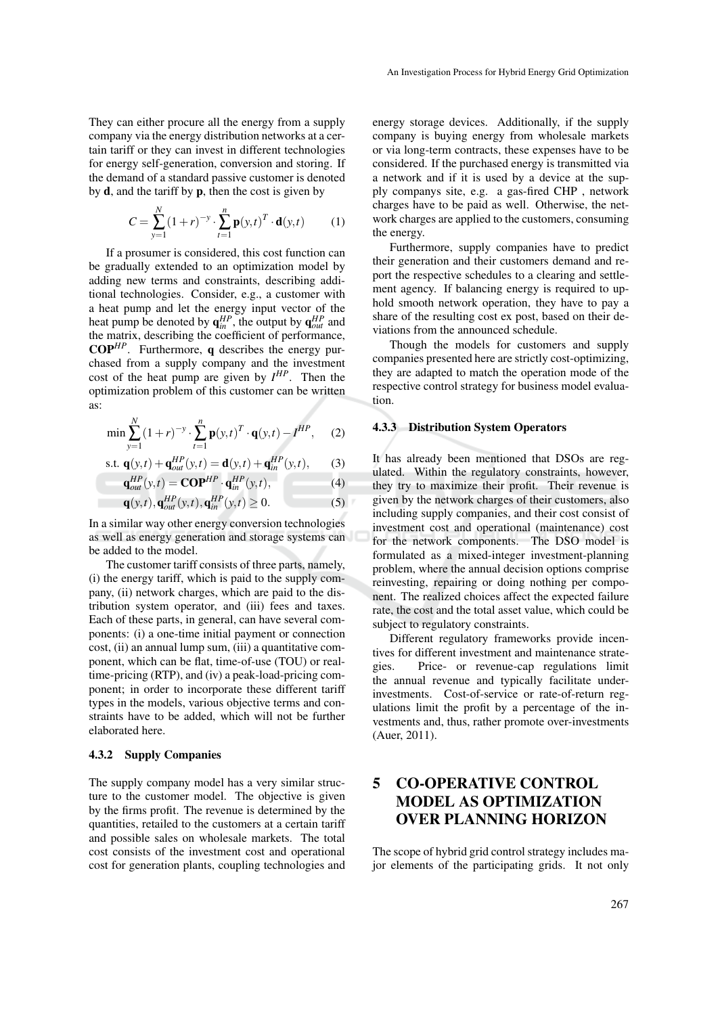They can either procure all the energy from a supply company via the energy distribution networks at a certain tariff or they can invest in different technologies for energy self-generation, conversion and storing. If the demand of a standard passive customer is denoted by  $d$ , and the tariff by  $p$ , then the cost is given by

$$
C = \sum_{y=1}^{N} (1+r)^{-y} \cdot \sum_{t=1}^{n} \mathbf{p}(y,t)^{T} \cdot \mathbf{d}(y,t)
$$
 (1)

If a prosumer is considered, this cost function can be gradually extended to an optimization model by adding new terms and constraints, describing additional technologies. Consider, e.g., a customer with a heat pump and let the energy input vector of the heat pump be denoted by  $q_{in}^{HP}$ , the output by  $q_{out}^{HP}$  and the matrix, describing the coefficient of performance, COP*HP*. Furthermore, q describes the energy purchased from a supply company and the investment cost of the heat pump are given by  $I^{HP}$ . Then the optimization problem of this customer can be written as:

$$
\min \sum_{y=1}^{N} (1+r)^{-y} \cdot \sum_{t=1}^{n} \mathbf{p}(y,t)^{T} \cdot \mathbf{q}(y,t) - I^{HP}, \quad (2)
$$

$$
\text{s.t. } \mathbf{q}(y,t) + \mathbf{q}_{out}^{HP}(y,t) = \mathbf{d}(y,t) + \mathbf{q}_{in}^{HP}(y,t), \qquad (3)
$$

$$
\mathbf{q}_{out}^{HP}(y,t) = \mathbf{COP}^{HP} \cdot \mathbf{q}_{in}^{HP}(y,t),
$$
  
 
$$
\mathbf{q}(y,t), \mathbf{q}_{out}^{HP}(y,t), \mathbf{q}_{in}^{HP}(y,t) \ge 0.
$$
 (4)

In a similar way other energy conversion technologies as well as energy generation and storage systems can be added to the model.

The customer tariff consists of three parts, namely, (i) the energy tariff, which is paid to the supply company, (ii) network charges, which are paid to the distribution system operator, and (iii) fees and taxes. Each of these parts, in general, can have several components: (i) a one-time initial payment or connection cost, (ii) an annual lump sum, (iii) a quantitative component, which can be flat, time-of-use (TOU) or realtime-pricing (RTP), and (iv) a peak-load-pricing component; in order to incorporate these different tariff types in the models, various objective terms and constraints have to be added, which will not be further elaborated here.

#### 4.3.2 Supply Companies

The supply company model has a very similar structure to the customer model. The objective is given by the firms profit. The revenue is determined by the quantities, retailed to the customers at a certain tariff and possible sales on wholesale markets. The total cost consists of the investment cost and operational cost for generation plants, coupling technologies and energy storage devices. Additionally, if the supply company is buying energy from wholesale markets or via long-term contracts, these expenses have to be considered. If the purchased energy is transmitted via a network and if it is used by a device at the supply companys site, e.g. a gas-fired CHP , network charges have to be paid as well. Otherwise, the network charges are applied to the customers, consuming the energy.

Furthermore, supply companies have to predict their generation and their customers demand and report the respective schedules to a clearing and settlement agency. If balancing energy is required to uphold smooth network operation, they have to pay a share of the resulting cost ex post, based on their deviations from the announced schedule.

Though the models for customers and supply companies presented here are strictly cost-optimizing, they are adapted to match the operation mode of the respective control strategy for business model evaluation.

#### 4.3.3 Distribution System Operators

It has already been mentioned that DSOs are regulated. Within the regulatory constraints, however, they try to maximize their profit. Their revenue is given by the network charges of their customers, also including supply companies, and their cost consist of investment cost and operational (maintenance) cost for the network components. The DSO model is formulated as a mixed-integer investment-planning problem, where the annual decision options comprise reinvesting, repairing or doing nothing per component. The realized choices affect the expected failure rate, the cost and the total asset value, which could be subject to regulatory constraints.

Different regulatory frameworks provide incentives for different investment and maintenance strategies. Price- or revenue-cap regulations limit the annual revenue and typically facilitate underinvestments. Cost-of-service or rate-of-return regulations limit the profit by a percentage of the investments and, thus, rather promote over-investments (Auer, 2011).

# 5 CO-OPERATIVE CONTROL MODEL AS OPTIMIZATION OVER PLANNING HORIZON

The scope of hybrid grid control strategy includes major elements of the participating grids. It not only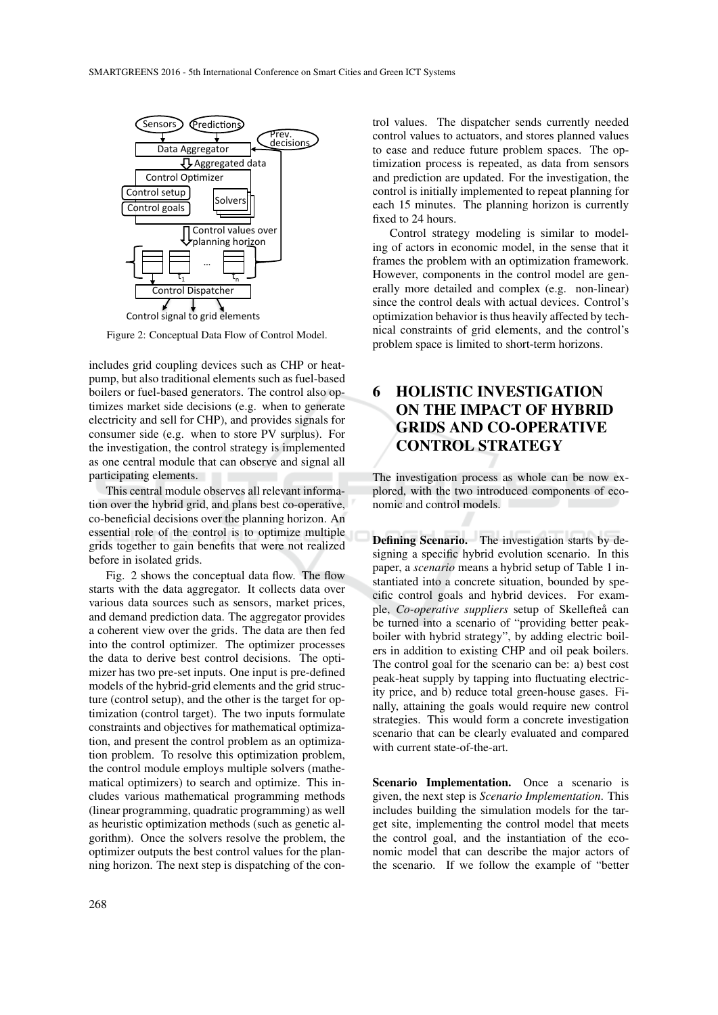

Figure 2: Conceptual Data Flow of Control Model.

includes grid coupling devices such as CHP or heatpump, but also traditional elements such as fuel-based boilers or fuel-based generators. The control also optimizes market side decisions (e.g. when to generate electricity and sell for CHP), and provides signals for consumer side (e.g. when to store PV surplus). For the investigation, the control strategy is implemented as one central module that can observe and signal all participating elements.

This central module observes all relevant information over the hybrid grid, and plans best co-operative, co-beneficial decisions over the planning horizon. An essential role of the control is to optimize multiple grids together to gain benefits that were not realized before in isolated grids.

Fig. 2 shows the conceptual data flow. The flow starts with the data aggregator. It collects data over various data sources such as sensors, market prices, and demand prediction data. The aggregator provides a coherent view over the grids. The data are then fed into the control optimizer. The optimizer processes the data to derive best control decisions. The optimizer has two pre-set inputs. One input is pre-defined models of the hybrid-grid elements and the grid structure (control setup), and the other is the target for optimization (control target). The two inputs formulate constraints and objectives for mathematical optimization, and present the control problem as an optimization problem. To resolve this optimization problem, the control module employs multiple solvers (mathematical optimizers) to search and optimize. This includes various mathematical programming methods (linear programming, quadratic programming) as well as heuristic optimization methods (such as genetic algorithm). Once the solvers resolve the problem, the optimizer outputs the best control values for the planning horizon. The next step is dispatching of the con-

trol values. The dispatcher sends currently needed control values to actuators, and stores planned values to ease and reduce future problem spaces. The optimization process is repeated, as data from sensors and prediction are updated. For the investigation, the control is initially implemented to repeat planning for each 15 minutes. The planning horizon is currently fixed to 24 hours.

Control strategy modeling is similar to modeling of actors in economic model, in the sense that it frames the problem with an optimization framework. However, components in the control model are generally more detailed and complex (e.g. non-linear) since the control deals with actual devices. Control's optimization behavior is thus heavily affected by technical constraints of grid elements, and the control's problem space is limited to short-term horizons.

# 6 HOLISTIC INVESTIGATION ON THE IMPACT OF HYBRID GRIDS AND CO-OPERATIVE CONTROL STRATEGY

The investigation process as whole can be now explored, with the two introduced components of economic and control models.

Defining Scenario. The investigation starts by designing a specific hybrid evolution scenario. In this paper, a *scenario* means a hybrid setup of Table 1 instantiated into a concrete situation, bounded by specific control goals and hybrid devices. For example, *Co-operative suppliers* setup of Skellefteå can be turned into a scenario of "providing better peakboiler with hybrid strategy", by adding electric boilers in addition to existing CHP and oil peak boilers. The control goal for the scenario can be: a) best cost peak-heat supply by tapping into fluctuating electricity price, and b) reduce total green-house gases. Finally, attaining the goals would require new control strategies. This would form a concrete investigation scenario that can be clearly evaluated and compared with current state-of-the-art.

Scenario Implementation. Once a scenario is given, the next step is *Scenario Implementation*. This includes building the simulation models for the target site, implementing the control model that meets the control goal, and the instantiation of the economic model that can describe the major actors of the scenario. If we follow the example of "better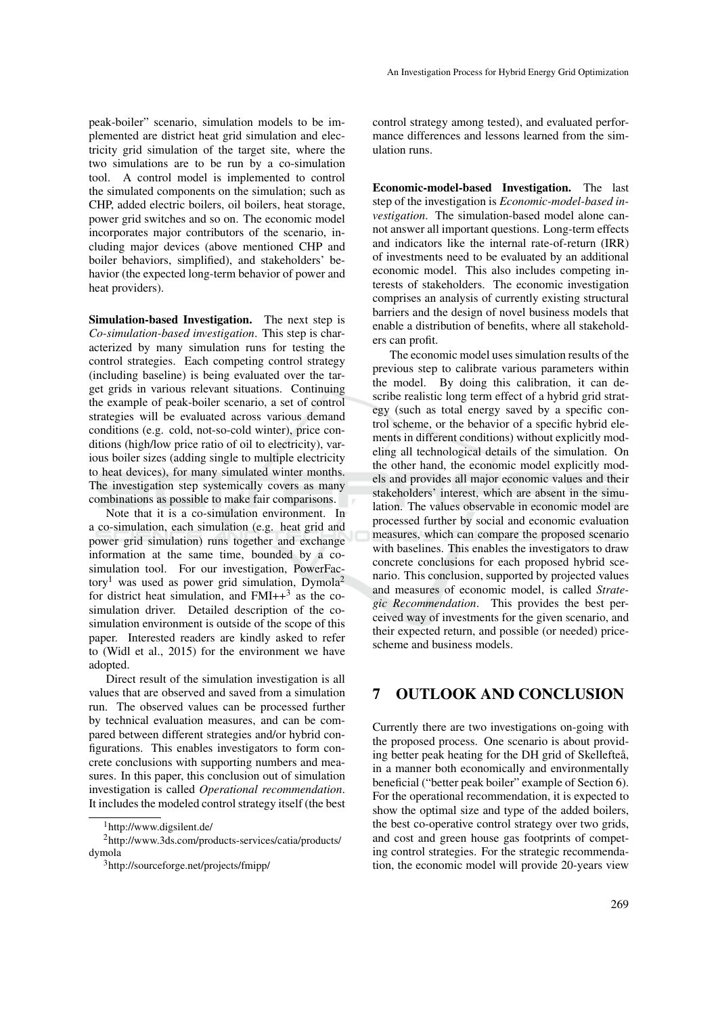peak-boiler" scenario, simulation models to be implemented are district heat grid simulation and electricity grid simulation of the target site, where the two simulations are to be run by a co-simulation tool. A control model is implemented to control the simulated components on the simulation; such as CHP, added electric boilers, oil boilers, heat storage, power grid switches and so on. The economic model incorporates major contributors of the scenario, including major devices (above mentioned CHP and boiler behaviors, simplified), and stakeholders' behavior (the expected long-term behavior of power and heat providers).

Simulation-based Investigation. The next step is *Co-simulation-based investigation*. This step is characterized by many simulation runs for testing the control strategies. Each competing control strategy (including baseline) is being evaluated over the target grids in various relevant situations. Continuing the example of peak-boiler scenario, a set of control strategies will be evaluated across various demand conditions (e.g. cold, not-so-cold winter), price conditions (high/low price ratio of oil to electricity), various boiler sizes (adding single to multiple electricity to heat devices), for many simulated winter months. The investigation step systemically covers as many combinations as possible to make fair comparisons.

Note that it is a co-simulation environment. In a co-simulation, each simulation (e.g. heat grid and power grid simulation) runs together and exchange information at the same time, bounded by a cosimulation tool. For our investigation, PowerFactory<sup>1</sup> was used as power grid simulation, Dymola<sup>2</sup> for district heat simulation, and  $FMI++^3$  as the cosimulation driver. Detailed description of the cosimulation environment is outside of the scope of this paper. Interested readers are kindly asked to refer to (Widl et al., 2015) for the environment we have adopted.

Direct result of the simulation investigation is all values that are observed and saved from a simulation run. The observed values can be processed further by technical evaluation measures, and can be compared between different strategies and/or hybrid configurations. This enables investigators to form concrete conclusions with supporting numbers and measures. In this paper, this conclusion out of simulation investigation is called *Operational recommendation*. It includes the modeled control strategy itself (the best control strategy among tested), and evaluated performance differences and lessons learned from the simulation runs.

Economic-model-based Investigation. The last step of the investigation is *Economic-model-based investigation*. The simulation-based model alone cannot answer all important questions. Long-term effects and indicators like the internal rate-of-return (IRR) of investments need to be evaluated by an additional economic model. This also includes competing interests of stakeholders. The economic investigation comprises an analysis of currently existing structural barriers and the design of novel business models that enable a distribution of benefits, where all stakeholders can profit.

The economic model uses simulation results of the previous step to calibrate various parameters within the model. By doing this calibration, it can describe realistic long term effect of a hybrid grid strategy (such as total energy saved by a specific control scheme, or the behavior of a specific hybrid elements in different conditions) without explicitly modeling all technological details of the simulation. On the other hand, the economic model explicitly models and provides all major economic values and their stakeholders' interest, which are absent in the simulation. The values observable in economic model are processed further by social and economic evaluation measures, which can compare the proposed scenario with baselines. This enables the investigators to draw concrete conclusions for each proposed hybrid scenario. This conclusion, supported by projected values and measures of economic model, is called *Strategic Recommendation*. This provides the best perceived way of investments for the given scenario, and their expected return, and possible (or needed) pricescheme and business models.

### 7 OUTLOOK AND CONCLUSION

Currently there are two investigations on-going with the proposed process. One scenario is about providing better peak heating for the DH grid of Skellefteå, in a manner both economically and environmentally beneficial ("better peak boiler" example of Section 6). For the operational recommendation, it is expected to show the optimal size and type of the added boilers, the best co-operative control strategy over two grids, and cost and green house gas footprints of competing control strategies. For the strategic recommendation, the economic model will provide 20-years view

<sup>1</sup>http://www.digsilent.de/

<sup>2</sup>http://www.3ds.com/products-services/catia/products/ dymola

<sup>3</sup>http://sourceforge.net/projects/fmipp/